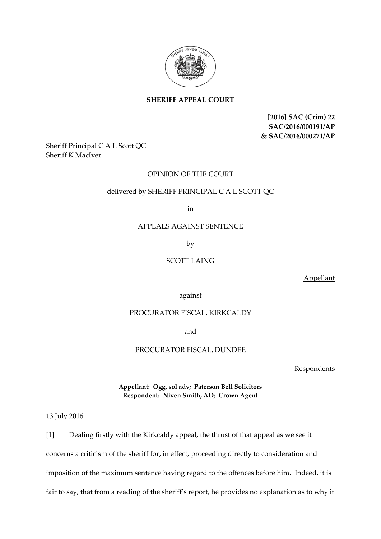

# **SHERIFF APPEAL COURT**

**[2016] SAC (Crim) 22 SAC/2016/000191/AP & SAC/2016/000271/AP**

Sheriff Principal C A L Scott QC Sheriff K MacIver

# OPINION OF THE COURT

### delivered by SHERIFF PRINCIPAL C A L SCOTT QC

in

# APPEALS AGAINST SENTENCE

by

### SCOTT LAING

Appellant

against

### PROCURATOR FISCAL, KIRKCALDY

and

#### PROCURATOR FISCAL, DUNDEE

Respondents

**Appellant: Ogg, sol adv; Paterson Bell Solicitors Respondent: Niven Smith, AD; Crown Agent**

### 13 July 2016

[1] Dealing firstly with the Kirkcaldy appeal, the thrust of that appeal as we see it concerns a criticism of the sheriff for, in effect, proceeding directly to consideration and imposition of the maximum sentence having regard to the offences before him. Indeed, it is fair to say, that from a reading of the sheriff's report, he provides no explanation as to why it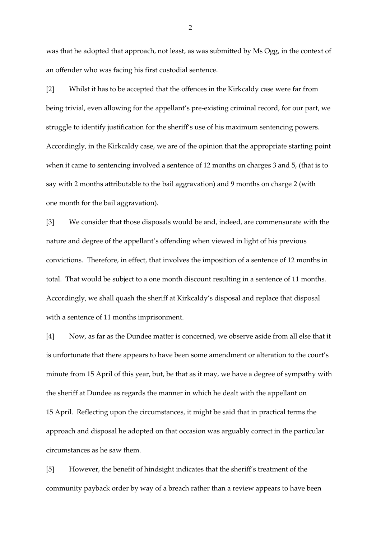was that he adopted that approach, not least, as was submitted by Ms Ogg, in the context of an offender who was facing his first custodial sentence.

[2] Whilst it has to be accepted that the offences in the Kirkcaldy case were far from being trivial, even allowing for the appellant's pre-existing criminal record, for our part, we struggle to identify justification for the sheriff's use of his maximum sentencing powers. Accordingly, in the Kirkcaldy case, we are of the opinion that the appropriate starting point when it came to sentencing involved a sentence of 12 months on charges 3 and 5, (that is to say with 2 months attributable to the bail aggravation) and 9 months on charge 2 (with one month for the bail aggravation).

[3] We consider that those disposals would be and, indeed, are commensurate with the nature and degree of the appellant's offending when viewed in light of his previous convictions. Therefore, in effect, that involves the imposition of a sentence of 12 months in total. That would be subject to a one month discount resulting in a sentence of 11 months. Accordingly, we shall quash the sheriff at Kirkcaldy's disposal and replace that disposal with a sentence of 11 months imprisonment.

[4] Now, as far as the Dundee matter is concerned, we observe aside from all else that it is unfortunate that there appears to have been some amendment or alteration to the court's minute from 15 April of this year, but, be that as it may, we have a degree of sympathy with the sheriff at Dundee as regards the manner in which he dealt with the appellant on 15 April. Reflecting upon the circumstances, it might be said that in practical terms the approach and disposal he adopted on that occasion was arguably correct in the particular circumstances as he saw them.

[5] However, the benefit of hindsight indicates that the sheriff's treatment of the community payback order by way of a breach rather than a review appears to have been

2